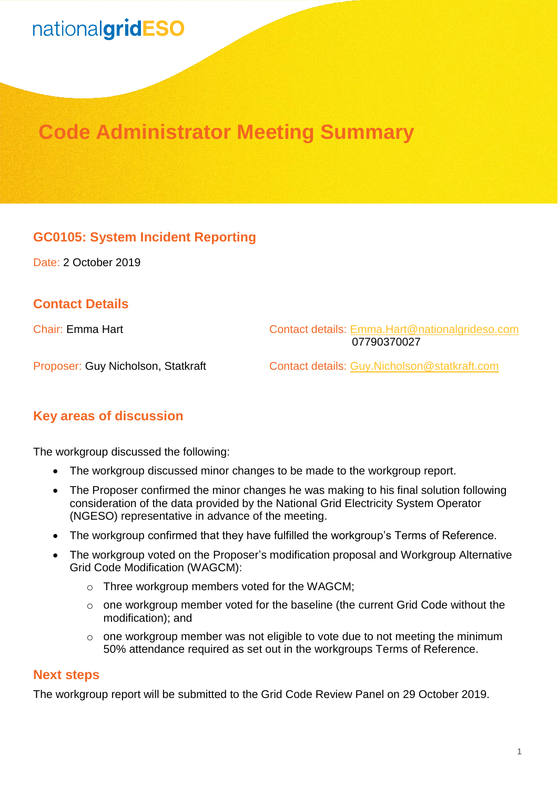## nationalgridESO

### **Code Administrator Meeting Summary**

#### **GC0105: System Incident Reporting**

Date: 2 October 2019

#### **Contact Details**

Chair: Emma Hart Contact details: [Emma.Hart@nationalgrideso.com](mailto:Emma.Hart@nationalgrideso.com)  07790370027

Proposer: Guy Nicholson, Statkraft Contact details: [Guy.Nicholson@statkraft.com](mailto:Guy.Nicholson@statkraft.com)

#### **Key areas of discussion**

The workgroup discussed the following:

- The workgroup discussed minor changes to be made to the workgroup report.
- The Proposer confirmed the minor changes he was making to his final solution following consideration of the data provided by the National Grid Electricity System Operator (NGESO) representative in advance of the meeting.
- The workgroup confirmed that they have fulfilled the workgroup's Terms of Reference.
- The workgroup voted on the Proposer's modification proposal and Workgroup Alternative Grid Code Modification (WAGCM):
	- o Three workgroup members voted for the WAGCM;
	- o one workgroup member voted for the baseline (the current Grid Code without the modification); and
	- o one workgroup member was not eligible to vote due to not meeting the minimum 50% attendance required as set out in the workgroups Terms of Reference.

#### **Next steps**

The workgroup report will be submitted to the Grid Code Review Panel on 29 October 2019.